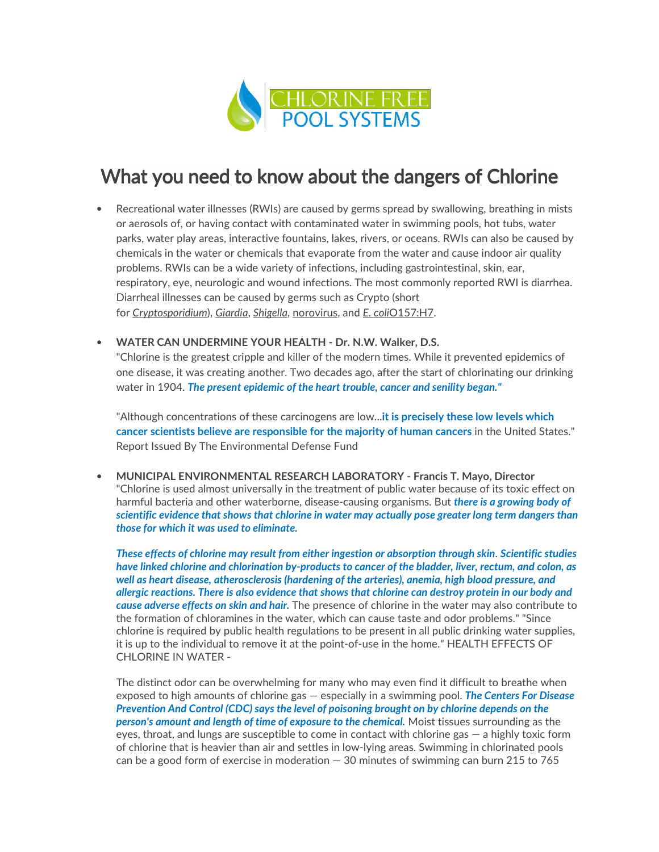

# What you need to know about the dangers of Chlorine

- Recreational water illnesses (RWIs) are caused by germs spread by swallowing, breathing in mists or aerosols of, or having contact with contaminated water in swimming pools, hot tubs, water parks, water play areas, interactive fountains, lakes, rivers, or oceans. RWIs can also be caused by chemicals in the water or chemicals that evaporate from the water and cause indoor air quality problems. RWIs can be a wide variety of infections, including gastrointestinal, skin, ear, respiratory, eye, neurologic and wound infections. The most commonly reported RWI is diarrhea. Diarrheal illnesses can be caused by germs such as Crypto (short for Cryptosporidium), Giardia, Shigella, norovirus, and E. coliO157:H7.
- WATER CAN UNDERMINE YOUR HEALTH Dr. N.W. Walker, D.S.

"Chlorine is the greatest cripple and killer of the modern times. While it prevented epidemics of one disease, it was creating another. Two decades ago, after the start of chlorinating our drinking water in 1904. The present epidemic of the heart trouble, cancer and senility began."

"Although concentrations of these carcinogens are low...**it is precisely these low levels which** cancer scientists believe are responsible for the majority of human cancers in the United States." Report Issued By The Environmental Defense Fund

• MUNICIPAL ENVIRONMENTAL RESEARCH LABORATORY - Francis T. Mayo, Director "Chlorine is used almost universally in the treatment of public water because of its toxic effect on harmful bacteria and other waterborne, disease-causing organisms. But *there is a growing body of* scientific evidence that shows that chlorine in water may actually pose greater long term dangers than those for which it was used to eliminate.

These effects of chlorine may result from either ingestion or absorption through skin. Scientific studies have linked chlorine and chlorination by-products to cancer of the bladder, liver, rectum, and colon, as well as heart disease, atherosclerosis (hardening of the arteries), anemia, high blood pressure, and allergic reactions. There is also evidence that shows that chlorine can destroy protein in our body and cause adverse effects on skin and hair. The presence of chlorine in the water may also contribute to the formation of chloramines in the water, which can cause taste and odor problems." "Since chlorine is required by public health regulations to be present in all public drinking water supplies, it is up to the individual to remove it at the point-of-use in the home." HEALTH EFFECTS OF CHLORINE IN WATER -

The distinct odor can be overwhelming for many who may even find it difficult to breathe when exposed to high amounts of chlorine gas — especially in a swimming pool. The Centers For Disease Prevention And Control (CDC) says the level of poisoning brought on by chlorine depends on the person's amount and length of time of exposure to the chemical. Moist tissues surrounding as the eyes, throat, and lungs are susceptible to come in contact with chlorine gas — a highly toxic form of chlorine that is heavier than air and settles in low-lying areas. Swimming in chlorinated pools can be a good form of exercise in moderation — 30 minutes of swimming can burn 215 to 765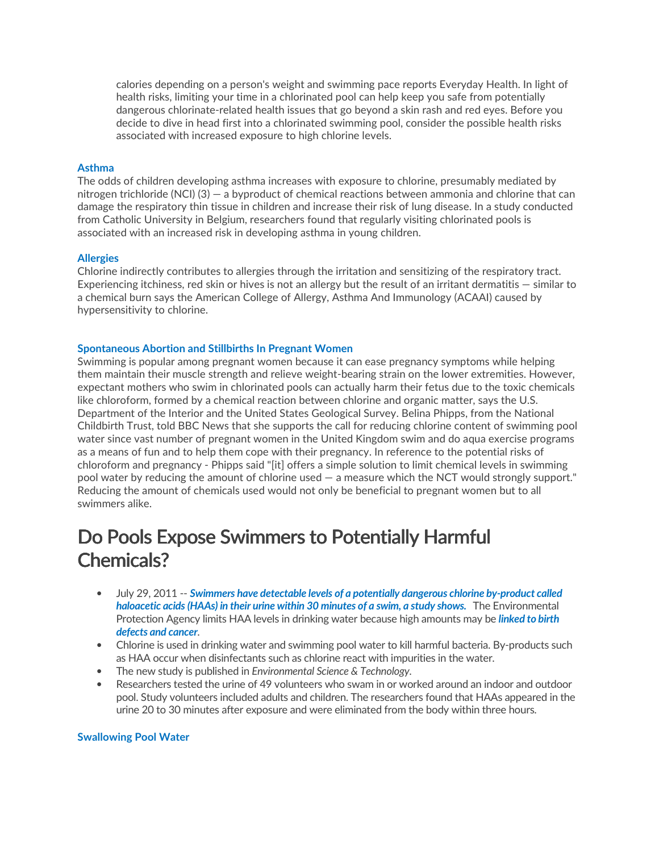calories depending on a person's weight and swimming pace reports Everyday Health. In light of health risks, limiting your time in a chlorinated pool can help keep you safe from potentially dangerous chlorinate-related health issues that go beyond a skin rash and red eyes. Before you decide to dive in head first into a chlorinated swimming pool, consider the possible health risks associated with increased exposure to high chlorine levels.

#### Asthma

The odds of children developing asthma increases with exposure to chlorine, presumably mediated by nitrogen trichloride (NCI) (3) — a byproduct of chemical reactions between ammonia and chlorine that can damage the respiratory thin tissue in children and increase their risk of lung disease. In a study conducted from Catholic University in Belgium, researchers found that regularly visiting chlorinated pools is associated with an increased risk in developing asthma in young children.

#### **Allergies**

Chlorine indirectly contributes to allergies through the irritation and sensitizing of the respiratory tract. Experiencing itchiness, red skin or hives is not an allergy but the result of an irritant dermatitis — similar to a chemical burn says the American College of Allergy, Asthma And Immunology (ACAAI) caused by hypersensitivity to chlorine.

#### Spontaneous Abortion and Stillbirths In Pregnant Women

Swimming is popular among pregnant women because it can ease pregnancy symptoms while helping them maintain their muscle strength and relieve weight-bearing strain on the lower extremities. However, expectant mothers who swim in chlorinated pools can actually harm their fetus due to the toxic chemicals like chloroform, formed by a chemical reaction between chlorine and organic matter, says the U.S. Department of the Interior and the United States Geological Survey. Belina Phipps, from the National Childbirth Trust, told BBC News that she supports the call for reducing chlorine content of swimming pool water since vast number of pregnant women in the United Kingdom swim and do aqua exercise programs as a means of fun and to help them cope with their pregnancy. In reference to the potential risks of chloroform and pregnancy - Phipps said "[it] offers a simple solution to limit chemical levels in swimming pool water by reducing the amount of chlorine used — a measure which the NCT would strongly support." Reducing the amount of chemicals used would not only be beneficial to pregnant women but to all swimmers alike.

### Do Pools Expose Swimmers to Potentially Harmful Chemicals?

- July 29, 2011 -- Swimmers have detectable levels of a potentially dangerous chlorine by-product called haloacetic acids (HAAs) in their urine within 30 minutes of a swim, a study shows. The Environmental Protection Agency limits HAA levels in drinking water because high amounts may be *linked to birth* defects and cancer.
- Chlorine is used in drinking water and swimming pool water to kill harmful bacteria. By-products such as HAA occur when disinfectants such as chlorine react with impurities in the water.
- The new study is published in Environmental Science & Technology.
- Researchers tested the urine of 49 volunteers who swam in or worked around an indoor and outdoor pool. Study volunteers included adults and children. The researchers found that HAAs appeared in the urine 20 to 30 minutes after exposure and were eliminated from the body within three hours.

#### Swallowing Pool Water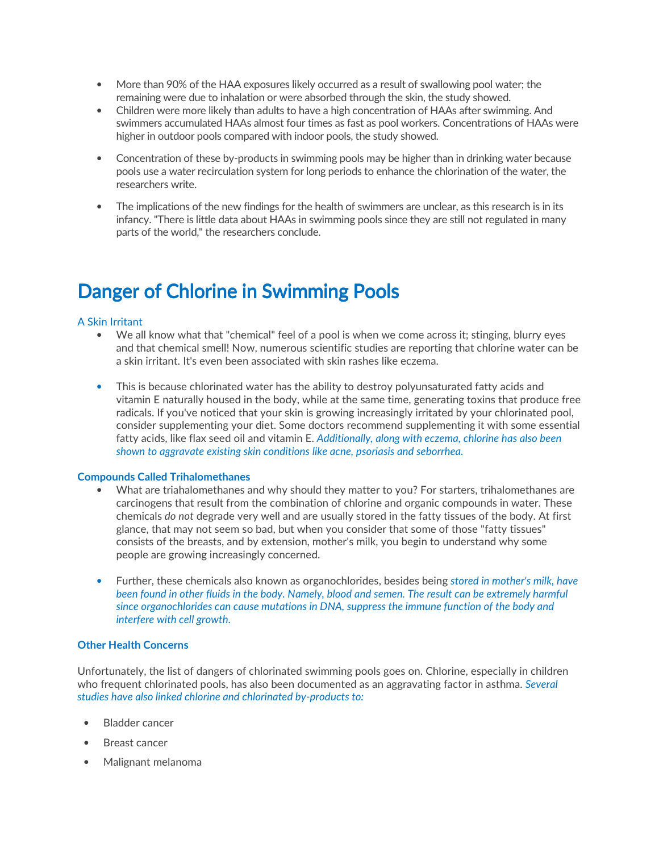- More than 90% of the HAA exposures likely occurred as a result of swallowing pool water; the remaining were due to inhalation or were absorbed through the skin, the study showed.
- Children were more likely than adults to have a high concentration of HAAs after swimming. And swimmers accumulated HAAs almost four times as fast as pool workers. Concentrations of HAAs were higher in outdoor pools compared with indoor pools, the study showed.
- Concentration of these by-products in swimming pools may be higher than in drinking water because pools use a water recirculation system for long periods to enhance the chlorination of the water, the researchers write.
- The implications of the new findings for the health of swimmers are unclear, as this research is in its infancy. "There is little data about HAAs in swimming pools since they are still not regulated in many parts of the world," the researchers conclude.

## Danger of Chlorine in Swimming Pools

#### A Skin Irritant

- We all know what that "chemical" feel of a pool is when we come across it; stinging, blurry eyes and that chemical smell! Now, numerous scientific studies are reporting that chlorine water can be a skin irritant. It's even been associated with skin rashes like eczema.
- This is because chlorinated water has the ability to destroy polyunsaturated fatty acids and vitamin E naturally housed in the body, while at the same time, generating toxins that produce free radicals. If you've noticed that your skin is growing increasingly irritated by your chlorinated pool, consider supplementing your diet. Some doctors recommend supplementing it with some essential fatty acids, like flax seed oil and vitamin E. Additionally, along with eczema, chlorine has also been shown to aggravate existing skin conditions like acne, psoriasis and seborrhea.

#### Compounds Called Trihalomethanes

- What are triahalomethanes and why should they matter to you? For starters, trihalomethanes are carcinogens that result from the combination of chlorine and organic compounds in water. These chemicals do not degrade very well and are usually stored in the fatty tissues of the body. At first glance, that may not seem so bad, but when you consider that some of those "fatty tissues" consists of the breasts, and by extension, mother's milk, you begin to understand why some people are growing increasingly concerned.
- Further, these chemicals also known as organochlorides, besides being stored in mother's milk, have been found in other fluids in the body. Namely, blood and semen. The result can be extremely harmful since organochlorides can cause mutations in DNA, suppress the immune function of the body and interfere with cell growth.

#### Other Health Concerns

Unfortunately, the list of dangers of chlorinated swimming pools goes on. Chlorine, especially in children who frequent chlorinated pools, has also been documented as an aggravating factor in asthma. Several studies have also linked chlorine and chlorinated by-products to:

- Bladder cancer
- Breast cancer
- Malignant melanoma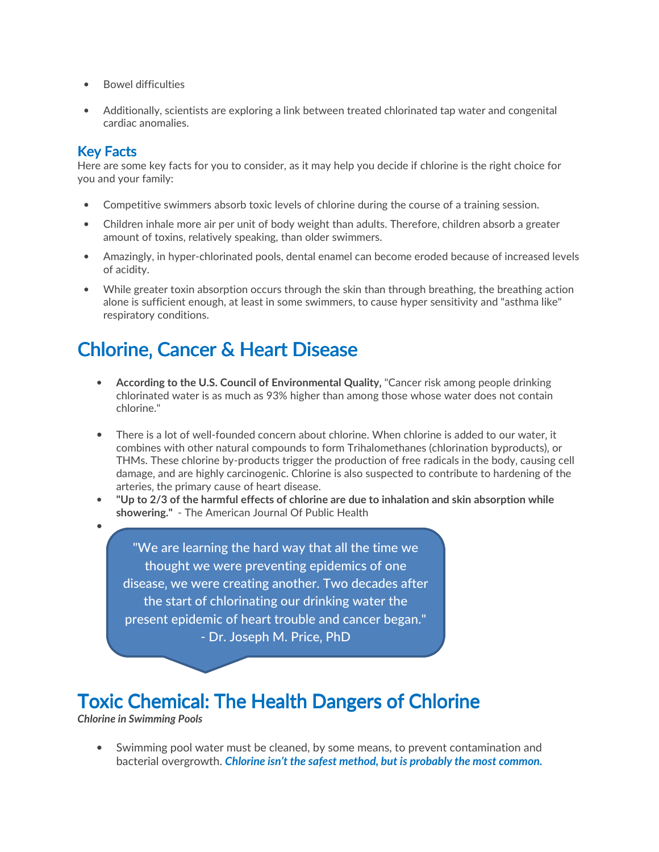- Bowel difficulties
- Additionally, scientists are exploring a link between treated chlorinated tap water and congenital cardiac anomalies.

### **Key Facts**

Here are some key facts for you to consider, as it may help you decide if chlorine is the right choice for you and your family:

- Competitive swimmers absorb toxic levels of chlorine during the course of a training session.
- Children inhale more air per unit of body weight than adults. Therefore, children absorb a greater amount of toxins, relatively speaking, than older swimmers.
- Amazingly, in hyper-chlorinated pools, dental enamel can become eroded because of increased levels of acidity.
- While greater toxin absorption occurs through the skin than through breathing, the breathing action alone is sufficient enough, at least in some swimmers, to cause hyper sensitivity and "asthma like" respiratory conditions.

## Chlorine, Cancer & Heart Disease

- According to the U.S. Council of Environmental Quality, "Cancer risk among people drinking chlorinated water is as much as 93% higher than among those whose water does not contain chlorine."
- There is a lot of well-founded concern about chlorine. When chlorine is added to our water, it combines with other natural compounds to form Trihalomethanes (chlorination byproducts), or THMs. These chlorine by-products trigger the production of free radicals in the body, causing cell damage, and are highly carcinogenic. Chlorine is also suspected to contribute to hardening of the arteries, the primary cause of heart disease.
- "Up to 2/3 of the harmful effects of chlorine are due to inhalation and skin absorption while showering." - The American Journal Of Public Health

"We are learning the hard way that all the time we thought we were preventing epidemics of one disease, we were creating another. Two decades after the start of chlorinating our drinking water the present epidemic of heart trouble and cancer began." - Dr. Joseph M. Price, PhD

### **Toxic Chemical: The Health Dangers of Chlorine**

Chlorine in Swimming Pools

•

• Swimming pool water must be cleaned, by some means, to prevent contamination and bacterial overgrowth. Chlorine isn't the safest method, but is probably the most common.